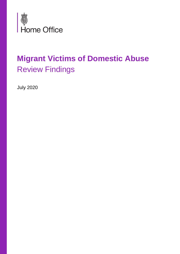

# **Migrant Victims of Domestic Abuse** Review Findings

July 2020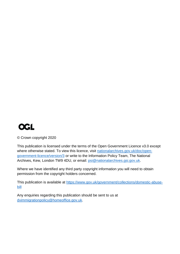

© Crown copyright 2020

This publication is licensed under the terms of the Open Government Licence v3.0 except where otherwise stated. To view this licence, visit [nationalarchives.gov.uk/doc/open](http://nationalarchives.gov.uk/doc/open-government-licence/version/3/)[government-licence/version/3](http://nationalarchives.gov.uk/doc/open-government-licence/version/3/) or write to the Information Policy Team, The National Archives, Kew, London TW9 4DU, or email: [psi@nationalarchives.gsi.gov.uk.](mailto:psi@nationalarchives.gsi.gov.uk)

Where we have identified any third party copyright information you will need to obtain permission from the copyright holders concerned.

This publication is available at [https://www.gov.uk/government/collections/domestic-abuse](https://www.gov.uk/government/collections/domestic-abuse-bill)[bill](https://www.gov.uk/government/collections/domestic-abuse-bill)

Any enquiries regarding this publication should be sent to us at [dvimmigrationpolicy@homeoffice.gov.uk.](mailto:dvimmigrationpolicy@homeoffice.gov.uk)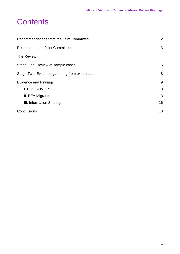#### **Contents**

| Recommendations from the Joint Committee         | $\overline{2}$ |
|--------------------------------------------------|----------------|
| Response to the Joint Committee                  | 3              |
| The Review                                       | $\overline{4}$ |
| Stage One: Review of sample cases                | 5              |
| Stage Two: Evidence gathering from expert sector | 8              |
| <b>Evidence and Findings</b>                     | 9              |
| I. DDVC/DVILR                                    | 9              |
| II. EEA Migrants                                 | 13             |
| III. Information Sharing                         | 16             |
| Conclusions                                      | 18             |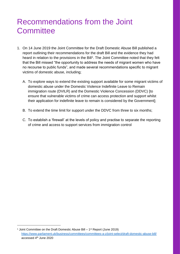## <span id="page-3-0"></span>Recommendations from the Joint **Committee**

- 1. On 14 June 2019 the Joint Committee for the Draft Domestic Abuse Bill published a report outlining their recommendations for the draft Bill and the evidence they had heard in relation to the provisions in the Bill<sup>1</sup>. The Joint Committee noted that they felt that the Bill missed "the opportunity to address the needs of migrant women who have no recourse to public funds", and made several recommendations specific to migrant victims of domestic abuse, including;
	- A. To explore ways to extend the existing support available for some migrant victims of domestic abuse under the Domestic Violence Indefinite Leave to Remain immigration route (DVILR) and the Domestic Violence Concession (DDVC) [to ensure that vulnerable victims of crime can access protection and support whilst their application for indefinite leave to remain is considered by the Government];
	- B. To extend the time limit for support under the DDVC from three to six months;
	- C. To establish a 'firewall' at the levels of policy and practise to separate the reporting of crime and access to support services from immigration control

<sup>&</sup>lt;sup>1</sup> Joint Committee on the Draft Domestic Abuse Bill – 1<sup>st</sup> Report (June 2019) <https://www.parliament.uk/business/committees/committees-a-z/joint-select/draft-domestic-abuse-bill/> accessed 4th June 2020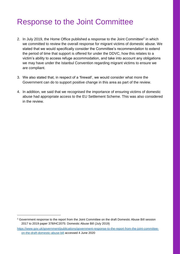## <span id="page-4-0"></span>Response to the Joint Committee

- 2. In July 2019, the Home Office published a response to the Joint Committee<sup>2</sup> in which we committed to review the overall response for migrant victims of domestic abuse. We stated that we would specifically consider the Committee's recommendation to extend the period of time that support is offered for under the DDVC, how this relates to a victim's ability to access refuge accommodation, and take into account any obligations we may have under the Istanbul Convention regarding migrant victims to ensure we are compliant.
- 3. We also stated that, in respect of a 'firewall', we would consider what more the Government can do to support positive change in this area as part of the review.
- 4. In addition, we said that we recognised the importance of ensuring victims of domestic abuse had appropriate access to the EU Settlement Scheme. This was also considered in the review.

<sup>&</sup>lt;sup>2</sup> Government response to the report from the Joint Committee on the draft Domestic Abuse Bill session [2017 to 2019 paper 378/HC2075: Domestic Abuse Bill](https://assets.publishing.service.gov.uk/government/uploads/system/uploads/attachment_data/file/817556/CCS0619467038-001_Domestic_Abuse_Bill_Print_WEb_Accessible.pdf) (July 2019)

[https://www.gov.uk/government/publications/government-response-to-the-report-from-the-joint-committee](https://www.gov.uk/government/publications/government-response-to-the-report-from-the-joint-committee-on-the-draft-domestic-abuse-bill)[on-the-draft-domestic-abuse-bill](https://www.gov.uk/government/publications/government-response-to-the-report-from-the-joint-committee-on-the-draft-domestic-abuse-bill) accessed 4 June 2020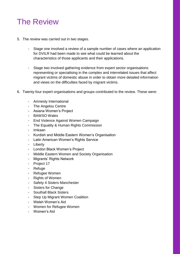# <span id="page-5-0"></span>The Review

- 5. The review was carried out in two stages.
	- Stage one involved a review of a sample number of cases where an application for DVILR had been made to see what could be learned about the characteristics of those applicants and their applications.
	- Stage two involved gathering evidence from expert sector organisations representing or specialising in the complex and interrelated issues that affect migrant victims of domestic abuse in order to obtain more detailed information and views on the difficulties faced by migrant victims.
- 6. Twenty-four expert organisations and groups contributed to the review. These were:
	- Amnesty International
	- The Angelou Centre
	- Asiana Women's Project
	- BAWSO Wales
	- End Violence Against Women Campaign
	- The Equality & Human Rights Commission
	- Imkaan
	- Kurdish and Middle Eastern Women's Organisation
	- Latin American Women's Rights Service
	- Liberty
	- London Black Women's Project
	- Middle Eastern Women and Society Organisation
	- Migrants' Rights Network
	- Project 17
	- Refuge
	- Refugee Women
	- Rights of Women
	- Safety 4 Sisters Manchester
	- Sisters for Change
	- Southall Black Sisters
	- Step Up Migrant Women Coalition
	- Welsh Women's Aid
	- Women for Refugee Women
	- Women's Aid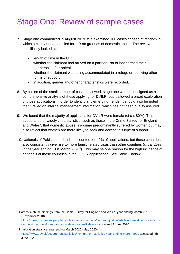# <span id="page-6-0"></span>Stage One: Review of sample cases

- 7. Stage one commenced in August 2019. We examined 100 cases chosen at random in which a claimant had applied for ILR on grounds of domestic abuse. The review specifically looked at:
	- length of time in the UK;

1

- whether the claimant had arrived on a partner visa or had formed their partnership after arrival;
- whether the claimant was being accommodated in a refuge or receiving other forms of support;
- in addition, gender and other characteristics were recorded.
- 8. By nature of the small number of cases reviewed, stage one was not designed as a comprehensive analysis of those applying for DVILR, but it allowed a broad exploration of those applications in order to identify any emerging trends. It should also be noted that it relied on internal management information, which has not been quality assured.
- 9. We found that the majority of applicants for DVILR were female (circa. 80%). This supports other widely cited statistics, such as those in the Crime Survey for England and Wales<sup>3</sup>, that domestic abuse is a crime predominantly suffered by women but may also reflect that women are more likely to seek and access this type of support.
- 10.Nationals of Pakistan and India accounted for 40% of applications, but these countries also consistently give rise to more family related visas than other countries (circa. 25% in the year ending 31st March 2020<sup>4</sup>). This may be one reason for the high incidence of nationals of these countries in the DVILR applications. See Table 1 below.

<sup>3</sup> [Domestic abuse: findings from the Crime Survey for England and Wales: year ending March 2018](https://www.ons.gov.uk/peoplepopulationandcommunity/crimeandjustice/articles/domesticabusefindingsfromthecrimesurveyforenglandandwales/yearendingmarch2018) (November 2018) [https://www.ons.gov.uk/peoplepopulationandcommunity/crimeandjustice/articles/domesticabusefindingsfr](https://www.ons.gov.uk/peoplepopulationandcommunity/crimeandjustice/articles/domesticabusefindingsfromthecrimesurveyforenglandandwales/previousReleases) [omthecrimesurveyforenglandandwales/previousReleases](https://www.ons.gov.uk/peoplepopulationandcommunity/crimeandjustice/articles/domesticabusefindingsfromthecrimesurveyforenglandandwales/previousReleases) accessed 4 June 2020

<sup>4</sup> Immigration statistics, year ending March 2020 (May 2020) <https://www.gov.uk/government/statistics/immigration-statistics-year-ending-march-2020> accessed 4th June 2020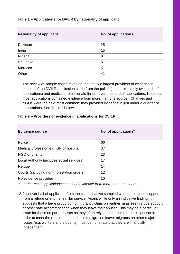#### **Table 1 – Applications for DVILR by nationality of applicant**

| <b>Nationality of applicant</b> | <b>No. of applications</b> |
|---------------------------------|----------------------------|
| Pakistan                        | 25                         |
| India                           | 15                         |
| Nigeria                         | 8                          |
| Sri Lanka                       | 6                          |
| Morocco                         | 5                          |
| Other                           | 41                         |

11.The review of sample cases revealed that the two largest providers of evidence in support of the DVILR application came from the police (in approximately two thirds of applications) and medical professionals (in just over one third of applications. Note that most applications contained evidence from more than one source). Charities and NGOs were the next most common; they provided evidence in just under a quarter of applications. See Table 2 below.

#### **Table 2 – Providers of evidence in applications for DVILR**

| <b>Evidence source</b>                     | No. of applications* |
|--------------------------------------------|----------------------|
| Police                                     | 66                   |
| Medical profession e.g. GP or hospital     | 37                   |
| NGO or charity                             | 23                   |
| Local Authority (includes social services) | 17                   |
| Refuge                                     | 14                   |
| Courts (including non-molestation orders)  | 12                   |
| No evidence provided                       | 10                   |

*\*note that most applications contained evidence from more than one source*

12.Just over half of applicants from the cases that we sampled were in receipt of support from a refuge or another similar service. Again, while only an indicative finding, it suggests that a large proportion of migrant victims on partner visas seek refuge support or other safe accommodation when they leave their abuser. This may be a particular issue for those on partner visas as they often rely on the income of their sponsor in order to meet the requirements of their immigration leave; migrants on other major routes (e.g. workers and students) must demonstrate that they are financially independent.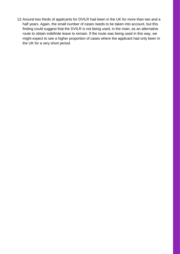13.Around two thirds of applicants for DVILR had been in the UK for more than two and a half years. Again, the small number of cases needs to be taken into account, but this finding could suggest that the DVILR is not being used, in the main, as an alternative route to obtain indefinite leave to remain. If the route was being used in this way, we might expect to see a higher proportion of cases where the applicant had only been in the UK for a very short period.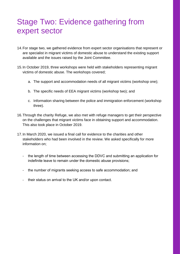## <span id="page-9-0"></span>Stage Two: Evidence gathering from expert sector

- 14.For stage two, we gathered evidence from expert sector organisations that represent or are specialist in migrant victims of domestic abuse to understand the existing support available and the issues raised by the Joint Committee.
- 15.In October 2019, three workshops were held with stakeholders representing migrant victims of domestic abuse. The workshops covered;
	- a. The support and accommodation needs of all migrant victims (workshop one);
	- b. The specific needs of EEA migrant victims (workshop two); and
	- c. Information sharing between the police and immigration enforcement (workshop three).
- 16.Through the charity Refuge, we also met with refuge managers to get their perspective on the challenges that migrant victims face in obtaining support and accommodation. This also took place in October 2019.
- 17.In March 2020, we issued a final call for evidence to the charities and other stakeholders who had been involved in the review. We asked specifically for more information on;
	- the length of time between accessing the DDVC and submitting an application for indefinite leave to remain under the domestic abuse provisions;
	- the number of migrants seeking access to safe accommodation; and
	- their status on arrival to the UK and/or upon contact.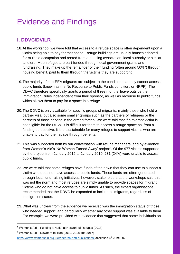# <span id="page-10-0"></span>Evidence and Findings

#### <span id="page-10-1"></span>**I. DDVC/DVILR**

- 18.At the workshop, we were told that access to a refuge space is often dependent upon a victim being able to pay for that space. Refuge buildings are usually houses adapted for multiple occupation and rented from a housing association, local authority or similar landlord. Most refuges are part-funded through local government grants and fundraising. They make up the remainder of their funding (often around 50%<sup>5</sup>) through housing benefit, paid to them through the victims they are supporting.
- 19.The majority of non-EEA migrants are subject to the condition that they cannot access public funds (known as the No Recourse to Public Funds condition, or NRPF). The DDVC therefore specifically grants a period of three months' leave outside the Immigration Rules independent from their sponsor, as well as recourse to public funds which allows them to pay for a space in a refuge.
- 20.The DDVC is only available for specific groups of migrants; mainly those who hold a partner visa, but also some smaller groups such as the partners of refugees or the partners of those serving in the armed forces. We were told that if a migrant victim is not eligible for the DDVC it is difficult for them to access a refuge space as, from a funding perspective, it is unsustainable for many refuges to support victims who are unable to pay for their space through benefits.
- 21.This was supported both by our conversation with refuge managers, and by evidence from Women's Aid's 'No Woman Turned Away' project<sup>6</sup>. Of the 977 victims supported by the project from January 2016 to January 2019, 231 (24%) were unable to access public funds.
- 22.We were told that some refuges have funds of their own that they can use to support a victim who does not have access to public funds. These funds are often generated through local fund-raising initiatives; however, stakeholders at the workshops said this was not the norm and most refuges are simply unable to provide spaces for migrant victims who do not have access to public funds. As such, the expert organisations recommended that the DDVC be expanded to include all migrants, regardless of immigration status.
- 23.What was unclear from the evidence we received was the immigration status of those who needed support, and particularly whether any other support was available to them. For example, we were provided with evidence that suggested that some individuals on

<sup>5</sup> Women's Aid – Funding a National Network of Refuges (2018)

 $6$  Women's Aid – Nowhere to Turn (2019, 2018 and 2017)

<https://www.womensaid.org.uk/research-and-publications/> accessed 4th June 2020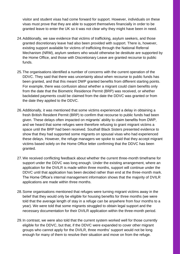visitor and student visas had come forward for support. However, individuals on these visas must prove that they are able to support themselves financially in order to be granted leave to enter the UK so it was not clear why they might have been in need.

- 24.Additionally, we saw evidence that victims of trafficking, asylum seekers, and those granted discretionary leave had also been provided with support. There is, however, existing support available for victims of trafficking through the National Referral Mechanism (NRM), asylum seekers who would otherwise be destitute are supported by the Home Office, and those with Discretionary Leave are granted recourse to public funds.
- 25.The organisations identified a number of concerns with the current operation of the DDVC. They said that there was uncertainty about when recourse to public funds has been granted, and that this meant DWP granted benefits from different starting points. For example, there was confusion about whether a migrant could claim benefits only from the date that the Biometric Residence Permit (BRP) was received, or whether backdated payments could be claimed from the date the DDVC was granted or from the date they applied to the DDVC.
- 26.Additionally, it was mentioned that some victims experienced a delay in obtaining a fresh British Resident Permit (BRP) to confirm that recourse to public funds had been given. These delays often impacted on migrants' ability to claim benefits from DWP, and we heard that some refuges were therefore refusing to grant migrant victims a space until the BRP had been received. Southall Black Sisters presented evidence to show that they had supported some migrants on spousal visas who had experienced these delays. However, the refuge managers we spoke to said that they accept migrant victims based solely on the Home Office letter confirming that the DDVC has been granted.
- 27.We received conflicting feedback about whether the current three-month timeframe for support under the DDVC was long enough. Under the existing arrangement, where an application for the DVILR is made within three months, support will continue under the DDVC until that application has been decided rather than end at the three-month mark. The Home Office's internal management information shows that the majority of DVILR applications are made within three months.
- 28.Some organisations mentioned that refuges were turning migrant victims away in the belief that they would only be eligible for housing benefits for three months (we were told that the average length of stay in a refuge can be anywhere from four months to a year). We were told that some migrants struggled to obtain legal support and the necessary documentation for their DVILR application within the three-month period.
- 29.In contrast, we were also told that the current system worked well for those currently eligible for the DDVC, but that, if the DDVC were expanded to cover other migrant groups who cannot apply for the DVILR, three months' support would not be long enough for many of them to resolve their situation and move on from the refuge.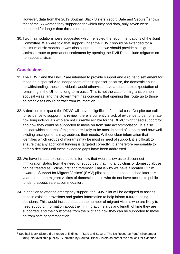However, data from the 2019 Southall Black Sisters' report 'Safe and Secure'<sup>7</sup> shows that of the 55 women they supported for which they had data, only seven were supported for longer than three months.

30.Two main solutions were suggested which reflected the recommendations of the Joint Committee. We were told that support under the DDVC should be extended for a minimum of six months. It was also suggested that we should provide all migrant victims a route to permanent settlement by opening the DVILR to include migrants on non-spousal visas.

#### **Conclusions**

 $\overline{a}$ 

- 31.The DDVC and the DVILR are intended to provide support and a route to settlement for those on a spousal visa independent of their sponsor because, the domestic abuse notwithstanding, these individuals would otherwise have a reasonable expectation of remaining in the UK on a long-term basis. This is not the case for migrants on nonspousal visas, and the Government has concerns that opening this route up to those on other visas would detract from its intention.
- 32.A decision to expand the DDVC will have a significant financial cost. Despite our call for evidence to support this review, there is currently a lack of evidence to demonstrate how long individuals who are not currently eligible for the DDVC might need support for and how they could be supported to move on from safe accommodation. It is also unclear which cohorts of migrants are likely to be most in need of support and how well existing arrangements may address their needs. Without clear information that identifies which groups of migrants may be most in need of support, it is difficult to ensure that any additional funding is targeted correctly. It is therefore reasonable to defer a decision until these evidence gaps have been addressed.
- 33.We have instead explored options for now that would allow us to disconnect immigration status from the need for support so that migrant victims of domestic abuse can be treated as victims, first and foremost. That is why we have allocated £1.5m toward a 'Support for Migrant Victims' (SMV) pilot scheme, to be launched later this year, to support migrant victims of domestic abuse who do not have access to public funds to access safe accommodation.
- 34.In addition to offering emergency support, the SMV pilot will be designed to assess gaps in existing provisions and gather information to help inform future funding decisions. This would include data on the number of migrant victims who are likely to need support, information about their immigration status and length of time they are supported, and their outcomes from the pilot and how they can be supported to move on from safe accommodation.

<sup>7</sup> Southall Black Sisters draft report of findings – "Safe and Secure: The No Recourse Fund" (September 2019). Not available publicly. Submitted by Southall Black Sisters as part of the final call for evidence.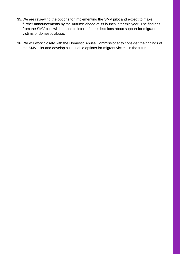- 35.We are reviewing the options for implementing the SMV pilot and expect to make further announcements by the Autumn ahead of its launch later this year. The findings from the SMV pilot will be used to inform future decisions about support for migrant victims of domestic abuse.
- 36.We will work closely with the Domestic Abuse Commissioner to consider the findings of the SMV pilot and develop sustainable options for migrant victims in the future.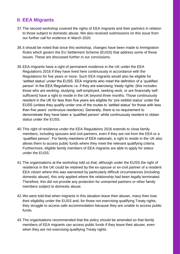#### <span id="page-14-0"></span>**II. EEA Migrants**

.

- 37.The second workshop covered the rights of EEA migrants and their partners in relation to those subject to domestic abuse. We also received submissions on this issue from our further call for evidence in March 2020.
- 38.It should be noted that since this workshop, changes have been made to Immigration Rules which govern the EU Settlement Scheme (EUSS) that address some of these issues. These are discussed further in our conclusions.
- 39.EEA migrants have a right of permanent residence in the UK under the EEA Regulations 2016 if they have lived here continuously in accordance with the Regulations for five years or more. Such EEA migrants would also be eligible for 'settled status' under the EUSS. EEA migrants who meet the definition of a 'qualified person' in the EEA Regulations i.e. if they are exercising 'treaty rights' (this includes those who are working, studying, self-employed, seeking work, or are financially selfsufficient) have a right to reside in the UK beyond three months. Those continuously resident in the UK for less than five years are eligible for 'pre-settled status' under the EUSS (unless they qualify under one of the routes to 'settled status' for those with less than five years' continuous residence). Generally, there is no requirement to demonstrate they have been a 'qualified person' while continuously resident to obtain status under the EUSS.
- 40.This right of residence under the EEA Regulations 2016 extends to close family members, including spouses and civil partners, even if they are not from the EEA or a 'qualified person'. For family members of EEA nationals, a right to reside in the UK also allows them to access public funds where they meet the relevant qualifying criteria. Furthermore, eligible family members of EEA migrants are able to apply for status under the EUSS.
- 41.The organisations at the workshop told us that, although under the EUSS the right of residence in the UK could be retained by the ex-spouse or ex-civil partner of a resident EEA citizen where this was warranted by particularly difficult circumstances (including domestic abuse), this only applied where the relationship had been legally terminated. Therefore, this did not provide any protection for unmarried partners or other family members subject to domestic abuse.
- 42.We were told that when migrants in this situation leave their abuser, many then lose their eligibility under the EUSS and, for those not exercising qualifying Treaty rights, they struggle to access safe accommodation because they are unable to access public funds.
- 43.The organisations recommended that the policy should be amended so that family members of EEA migrants can access public funds if they leave their abuser, even when they are not exercising qualifying Treaty rights.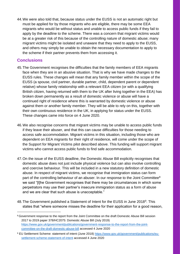44.We were also told that, because status under the EUSS is not an automatic right but must be applied for by those migrants who are eligible, there may be some EEA migrants who would be without status and unable to access public funds if they fail to apply by the deadline to the scheme. There was a concern that migrant victims would be at a greater risk of this because of the controlling nature of domestic abuse; many migrant victims might be isolated and unaware that they need to apply to the EUSS, and others may simply be unable to obtain the necessary documentation to apply to the scheme if their partner prevents them from accessing it.

#### **Conclusions**

- 45.The Government recognises the difficulties that the family members of EEA migrants face when they are in an abusive situation. That is why we have made changes to the EUSS rules. These changes will mean that any family member within the scope of the EUSS (a spouse, civil partner, durable partner, child, dependent parent or dependent relative) whose family relationship with a relevant EEA citizen (or with a qualifying British citizen, having returned with them to the UK after living together in the EEA) has broken down permanently as a result of domestic violence or abuse will have a continued right of residence where this is warranted by domestic violence or abuse against them or another family member. They will be able to rely on this, together with their own continuous residence in the UK, in applying for status under the EUSS. These changes came into force on 4 June 2020.
- 46.We also recognise concerns that migrant victims may be unable to access public funds if they leave their abuser, and that this can cause difficulties for those needing to access safe accommodation. Migrant victims in this situation, including those who are dependent on EEA migrants for their right of residence, will come under the scope of the Support for Migrant Victims pilot described above. This funding will support migrant victims who cannot access public funds to find safe accommodation.
- 47.On the issue of the EUSS deadline, the Domestic Abuse Bill explicitly recognises that domestic abuse does not just include physical violence but can also involve controlling and coercive behaviour. This will be included in a new statutory definition of domestic abuse. In respect of migrant victims, we recognise that immigration status can form part of the controlling behaviour of an abuser. In our response to the Joint Committee<sup>8</sup> we said "[t]he Government recognises that there may be circumstances in which some perpetrators may use their partner's insecure immigration status as a form of abuse and we are clear that such abuse is unacceptable."
- 48. The Government published a Statement of Intent for the EUSS in June 2018<sup>9</sup>. This states that "where someone misses the deadline for their application for a good reason,

<sup>8</sup> [Government response to the report from the Joint Committee on the draft Domestic Abuse Bill session](https://assets.publishing.service.gov.uk/government/uploads/system/uploads/attachment_data/file/817556/CCS0619467038-001_Domestic_Abuse_Bill_Print_WEb_Accessible.pdf)  [2017 to 2019 paper 378/HC2075: Domestic Abuse Bill](https://assets.publishing.service.gov.uk/government/uploads/system/uploads/attachment_data/file/817556/CCS0619467038-001_Domestic_Abuse_Bill_Print_WEb_Accessible.pdf) (July 2019) [https://www.gov.uk/government/publications/government-response-to-the-report-from-the-joint](https://www.gov.uk/government/publications/government-response-to-the-report-from-the-joint-committee-on-the-draft-domestic-abuse-bill)[committee-on-the-draft-domestic-abuse-bill](https://www.gov.uk/government/publications/government-response-to-the-report-from-the-joint-committee-on-the-draft-domestic-abuse-bill) accessed 4 June 2020

<sup>9</sup> EU Settlement Scheme: statement of intent (June 2018) [https://www.gov.uk/government/publications/eu](https://www.gov.uk/government/publications/eu-settlement-scheme-statement-of-intent)[settlement-scheme-statement-of-intent](https://www.gov.uk/government/publications/eu-settlement-scheme-statement-of-intent) accessed 4 June 2020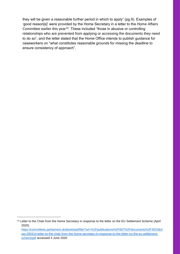they will be given a reasonable further period in which to apply" (pg.9). Examples of 'good reason[s]' were provided by the Home Secretary in a letter to the Home Affairs Committee earlier this year<sup>10</sup>. These included "those in abusive or controlling relationships who are prevented from applying or accessing the documents they need to do so", and the letter stated that the Home Office intends to publish guidance for caseworkers on "what constitutes reasonable grounds for missing the deadline to ensure consistency of approach".

<sup>&</sup>lt;sup>10</sup> Letter to the Chair from the Home Secretary in response to the letter on the EU Settlement Scheme (April 2020) [https://committees.parliament.uk/download/file/?url=%2Fpublications%2F667%2Fdocuments%2F3023&sl](https://committees.parliament.uk/download/file/?url=%2Fpublications%2F667%2Fdocuments%2F3023&slug=200414-letter-to-the-chair-from-the-home-secretary-in-response-to-the-letter-on-the-eu-settlement-schemepdf) [ug=200414-letter-to-the-chair-from-the-home-secretary-in-response-to-the-letter-on-the-eu-settlement](https://committees.parliament.uk/download/file/?url=%2Fpublications%2F667%2Fdocuments%2F3023&slug=200414-letter-to-the-chair-from-the-home-secretary-in-response-to-the-letter-on-the-eu-settlement-schemepdf)[schemepdf](https://committees.parliament.uk/download/file/?url=%2Fpublications%2F667%2Fdocuments%2F3023&slug=200414-letter-to-the-chair-from-the-home-secretary-in-response-to-the-letter-on-the-eu-settlement-schemepdf) accessed 4 June 2020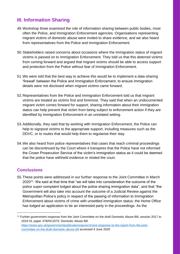#### <span id="page-17-0"></span>**III. Information Sharing**

- 49.Workshop three examined the role of information sharing between public bodies, most often the Police, and Immigration Enforcement agencies. Organisations representing migrant victims of domestic abuse were invited to share evidence, and we also heard from representatives from the Police and Immigration Enforcement.
- 50.Stakeholders raised concerns about occasions where the immigration status of migrant victims is passed on to Immigration Enforcement. They told us that this deterred victims from coming forward and argued that migrant victims should be able to access support and protection from the Police without fear of Immigration Enforcement.
- 51.We were told that the best way to achieve this would be to implement a data-sharing 'firewall' between the Police and Immigration Enforcement, to ensure immigration details were not disclosed when migrant victims came forward.
- 52.Representatives from the Police and Immigration Enforcement told us that migrant victims are treated as victims first and foremost. They said that when an undocumented migrant victim comes forward for support, sharing information about their immigration status can help prevent that victim from being subject to enforcement action if they are identified by Immigration Enforcement in an unrelated setting.
- 53.Additionally, they said that by working with Immigration Enforcement, the Police can help to signpost victims to the appropriate support, including measures such as the DDVC, or to routes that would help them to regularise their stay.
- 54.We also heard from police representatives that cases that reach criminal proceedings can be discontinued by the Court where it transpires that the Police have not informed the Crown Prosecution Service of the victim's immigration status as it could be deemed that the police have withheld evidence or misled the court.

#### **Conclusions**

1

55.These points were addressed in our further response to the Joint Committee in March 2020<sup>11</sup>. We said at that time that "we will take into consideration the outcome of the police super-complaint lodged about the police sharing immigration data", and that "the Government will also take into account the outcome of a Judicial Review against the Metropolitan Police's policy in respect of the passing of information to Immigration Enforcement about victims of crime with unsettled immigration status; the Home Office has lodged an application to be an interested party in the proceedings. As the

<sup>11</sup> Further government response from the Joint Committee on the draft Domestic Abuse Bill, session 2017 to 2019 HL paper 378/HC2075: Domestic Abuse Bill [https://www.gov.uk/government/publications/government-response-to-the-report-from-the-joint](https://www.gov.uk/government/publications/government-response-to-the-report-from-the-joint-committee-on-the-draft-domestic-abuse-billa)[committee-on-the-draft-domestic-abuse-bill](https://www.gov.uk/government/publications/government-response-to-the-report-from-the-joint-committee-on-the-draft-domestic-abuse-billa) accessed 4 June 2020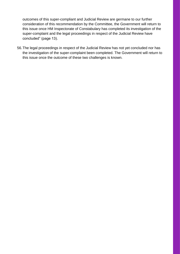outcomes of this super-compliant and Judicial Review are germane to our further consideration of this recommendation by the Committee, the Government will return to this issue once HM Inspectorate of Constabulary has completed its investigation of the super-complaint and the legal proceedings in respect of the Judicial Review have concluded" (page 13).

56.The legal proceedings in respect of the Judicial Review has not yet concluded nor has the investigation of the super-complaint been completed. The Government will return to this issue once the outcome of these two challenges is known.